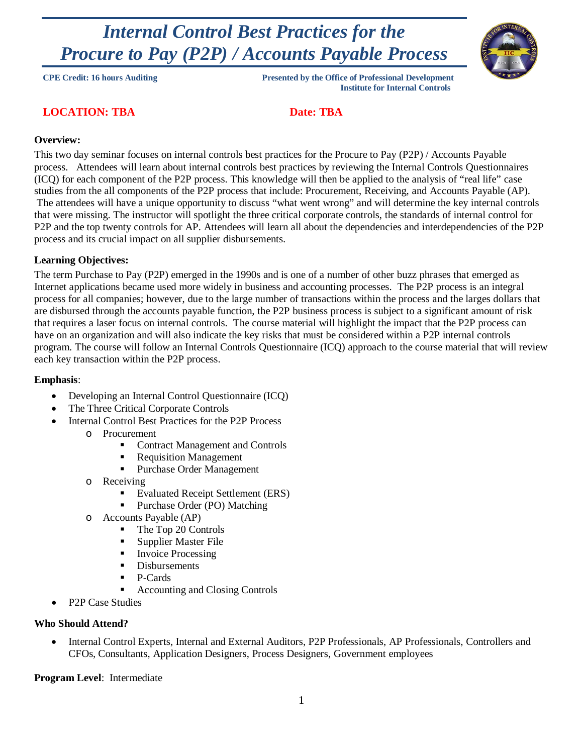# *Internal Control Best Practices for the Procure to Pay (P2P) / Accounts Payable Process*



**CPE Credit: 16 hours Auditing Presented by the Office of Professional Development Institute for Internal Controls**

### **LOCATION: TBA** Date: TBA

### **Overview:**

This two day seminar focuses on internal controls best practices for the Procure to Pay (P2P) / Accounts Payable process. Attendees will learn about internal controls best practices by reviewing the Internal Controls Questionnaires (ICQ) for each component of the P2P process. This knowledge will then be applied to the analysis of "real life" case studies from the all components of the P2P process that include: Procurement, Receiving, and Accounts Payable (AP). The attendees will have a unique opportunity to discuss "what went wrong" and will determine the key internal controls that were missing. The instructor will spotlight the three critical corporate controls, the standards of internal control for P2P and the top twenty controls for AP. Attendees will learn all about the dependencies and interdependencies of the P2P process and its crucial impact on all supplier disbursements.

### **Learning Objectives:**

The term Purchase to Pay (P2P) emerged in the 1990s and is one of a number of other buzz phrases that emerged as Internet applications became used more widely in business and accounting processes. The P2P process is an integral process for all companies; however, due to the large number of transactions within the process and the larges dollars that are disbursed through the accounts payable function, the P2P business process is subject to a significant amount of risk that requires a laser focus on internal controls. The course material will highlight the impact that the P2P process can have on an organization and will also indicate the key risks that must be considered within a P2P internal controls program. The course will follow an Internal Controls Questionnaire (ICQ) approach to the course material that will review each key transaction within the P2P process.

### **Emphasis**:

- Developing an Internal Control Questionnaire (ICQ)
- The Three Critical Corporate Controls
- Internal Control Best Practices for the P2P Process
	- o Procurement
		- Contract Management and Controls
		- **Requisition Management**
		- Purchase Order Management
	- o Receiving
		- Evaluated Receipt Settlement (ERS)
		- **Purchase Order (PO) Matching**
	- o Accounts Payable (AP)
		- The Top 20 Controls
		- **Supplier Master File**
		- Invoice Processing
		- Disbursements
		- P-Cards
		- Accounting and Closing Controls
- P<sub>2</sub>P Case Studies

#### **Who Should Attend?**

• Internal Control Experts, Internal and External Auditors, P2P Professionals, AP Professionals, Controllers and CFOs, Consultants, Application Designers, Process Designers, Government employees

**Program Level**: Intermediate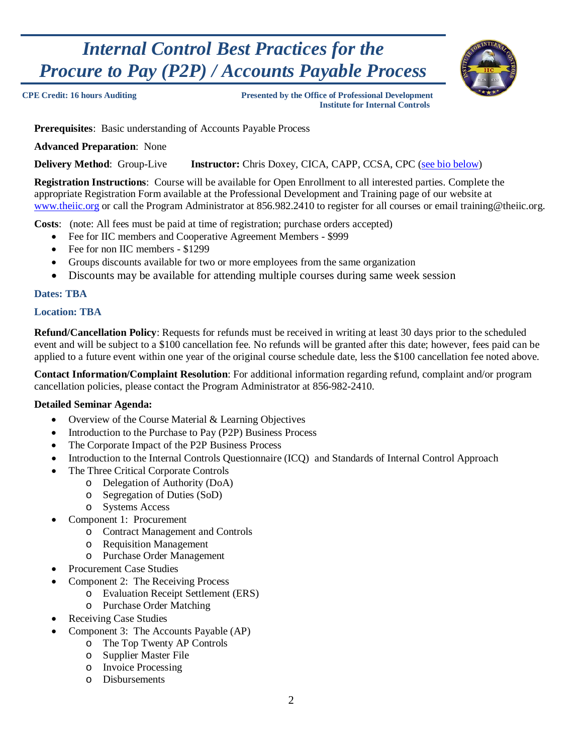# *Internal Control Best Practices for the Procure to Pay (P2P) / Accounts Payable Process*



**CPE Credit: 16 hours Auditing Presented by the Office of Professional Development Institute for Internal Controls**

**Prerequisites**: Basic understanding of Accounts Payable Process

**Advanced Preparation**: None

**Delivery Method**: Group-Live **Instructor:** Chris Doxey, CICA, CAPP, CCSA, CPC (see bio below)

**Registration Instructions**: Course will be available for Open Enrollment to all interested parties. Complete the appropriate Registration Form available at the Professional Development and Training page of our website at [www.theiic.org](http://www.theiic.org/) or call the Program Administrator at 856.982.2410 to register for all courses or email training@theiic.org.

**Costs**: (note: All fees must be paid at time of registration; purchase orders accepted)

- Fee for IIC members and Cooperative Agreement Members \$999
- Fee for non IIC members \$1299
- Groups discounts available for two or more employees from the same organization
- Discounts may be available for attending multiple courses during same week session

### **Dates: TBA**

### **Location: TBA**

**Refund/Cancellation Policy**: Requests for refunds must be received in writing at least 30 days prior to the scheduled event and will be subject to a \$100 cancellation fee. No refunds will be granted after this date; however, fees paid can be applied to a future event within one year of the original course schedule date, less the \$100 cancellation fee noted above.

**Contact Information/Complaint Resolution**: For additional information regarding refund, complaint and/or program cancellation policies, please contact the Program Administrator at 856-982-2410.

#### **Detailed Seminar Agenda:**

- Overview of the Course Material & Learning Objectives
- Introduction to the Purchase to Pay (P2P) Business Process
- The Corporate Impact of the P2P Business Process
- Introduction to the Internal Controls Questionnaire (ICQ) and Standards of Internal Control Approach
- The Three Critical Corporate Controls
	- o Delegation of Authority (DoA)
	- o Segregation of Duties (SoD)
	- o Systems Access
- Component 1: Procurement
	- o Contract Management and Controls
	- o Requisition Management
	- o Purchase Order Management
- Procurement Case Studies
- Component 2: The Receiving Process
	- o Evaluation Receipt Settlement (ERS)
		- o Purchase Order Matching
- Receiving Case Studies
- Component 3: The Accounts Payable (AP)
	- o The Top Twenty AP Controls
	- o Supplier Master File
	- o Invoice Processing
	- o Disbursements